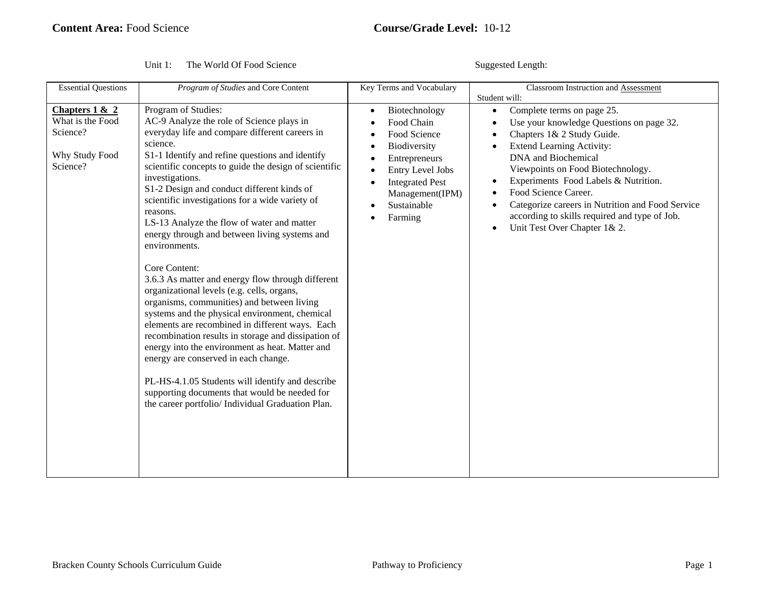Suggested Length:

| <b>Essential Questions</b>                                                     | Program of Studies and Core Content                                                                                                                                                                                                                                                                                                                                                                                                                                                                                                                                                                                                                                                                                                                                                                                                                                                                                                                                                                                                                                           | <b>Key Terms and Vocabulary</b>                                                                                                                                         | Classroom Instruction and Assessment<br>Student will:                                                                                                                                                                                                                                                                                                                                                                  |
|--------------------------------------------------------------------------------|-------------------------------------------------------------------------------------------------------------------------------------------------------------------------------------------------------------------------------------------------------------------------------------------------------------------------------------------------------------------------------------------------------------------------------------------------------------------------------------------------------------------------------------------------------------------------------------------------------------------------------------------------------------------------------------------------------------------------------------------------------------------------------------------------------------------------------------------------------------------------------------------------------------------------------------------------------------------------------------------------------------------------------------------------------------------------------|-------------------------------------------------------------------------------------------------------------------------------------------------------------------------|------------------------------------------------------------------------------------------------------------------------------------------------------------------------------------------------------------------------------------------------------------------------------------------------------------------------------------------------------------------------------------------------------------------------|
| Chapters $1 & 2$<br>What is the Food<br>Science?<br>Why Study Food<br>Science? | Program of Studies:<br>AC-9 Analyze the role of Science plays in<br>everyday life and compare different careers in<br>science.<br>S1-1 Identify and refine questions and identify<br>scientific concepts to guide the design of scientific<br>investigations.<br>S1-2 Design and conduct different kinds of<br>scientific investigations for a wide variety of<br>reasons.<br>LS-13 Analyze the flow of water and matter<br>energy through and between living systems and<br>environments.<br>Core Content:<br>3.6.3 As matter and energy flow through different<br>organizational levels (e.g. cells, organs,<br>organisms, communities) and between living<br>systems and the physical environment, chemical<br>elements are recombined in different ways. Each<br>recombination results in storage and dissipation of<br>energy into the environment as heat. Matter and<br>energy are conserved in each change.<br>PL-HS-4.1.05 Students will identify and describe<br>supporting documents that would be needed for<br>the career portfolio/ Individual Graduation Plan. | Biotechnology<br>Food Chain<br>Food Science<br>Biodiversity<br>Entrepreneurs<br>Entry Level Jobs<br><b>Integrated Pest</b><br>Management(IPM)<br>Sustainable<br>Farming | Complete terms on page 25.<br>Use your knowledge Questions on page 32.<br>Chapters 1& 2 Study Guide.<br><b>Extend Learning Activity:</b><br>DNA and Biochemical<br>Viewpoints on Food Biotechnology.<br>Experiments Food Labels & Nutrition.<br>Food Science Career.<br>Categorize careers in Nutrition and Food Service<br>according to skills required and type of Job.<br>Unit Test Over Chapter 1& 2.<br>$\bullet$ |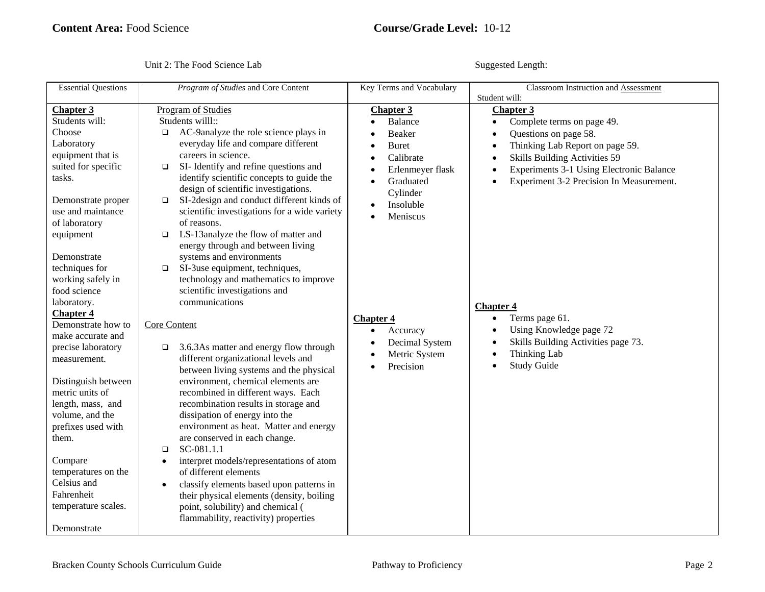Unit 2: The Food Science Lab Suggested Length:

| <b>Essential Questions</b>                                                                                                                                                                                                                                                                                                                                                                                                                                                                                                                                                                                | Program of Studies and Core Content                                                                                                                                                                                                                                                                                                                                                                                                                                                                                                                                                                                                                                                                                                                                                                                                                                                                                                                                                                                                                                                                                                                                                                                                                                                                                                                                | Key Terms and Vocabulary                                                                                                                                                                                                                           | Classroom Instruction and Assessment<br>Student will:                                                                                                                                                                                                                                                                                                                                                       |
|-----------------------------------------------------------------------------------------------------------------------------------------------------------------------------------------------------------------------------------------------------------------------------------------------------------------------------------------------------------------------------------------------------------------------------------------------------------------------------------------------------------------------------------------------------------------------------------------------------------|--------------------------------------------------------------------------------------------------------------------------------------------------------------------------------------------------------------------------------------------------------------------------------------------------------------------------------------------------------------------------------------------------------------------------------------------------------------------------------------------------------------------------------------------------------------------------------------------------------------------------------------------------------------------------------------------------------------------------------------------------------------------------------------------------------------------------------------------------------------------------------------------------------------------------------------------------------------------------------------------------------------------------------------------------------------------------------------------------------------------------------------------------------------------------------------------------------------------------------------------------------------------------------------------------------------------------------------------------------------------|----------------------------------------------------------------------------------------------------------------------------------------------------------------------------------------------------------------------------------------------------|-------------------------------------------------------------------------------------------------------------------------------------------------------------------------------------------------------------------------------------------------------------------------------------------------------------------------------------------------------------------------------------------------------------|
| <b>Chapter 3</b><br>Students will:<br>Choose<br>Laboratory<br>equipment that is<br>suited for specific<br>tasks.<br>Demonstrate proper<br>use and maintance<br>of laboratory<br>equipment<br>Demonstrate<br>techniques for<br>working safely in<br>food science<br>laboratory.<br><b>Chapter 4</b><br>Demonstrate how to<br>make accurate and<br>precise laboratory<br>measurement.<br>Distinguish between<br>metric units of<br>length, mass, and<br>volume, and the<br>prefixes used with<br>them.<br>Compare<br>temperatures on the<br>Celsius and<br>Fahrenheit<br>temperature scales.<br>Demonstrate | Program of Studies<br>Students willl::<br>AC-9analyze the role science plays in<br>$\Box$<br>everyday life and compare different<br>careers in science.<br>SI-Identify and refine questions and<br>$\Box$<br>identify scientific concepts to guide the<br>design of scientific investigations.<br>SI-2design and conduct different kinds of<br>$\Box$<br>scientific investigations for a wide variety<br>of reasons.<br>LS-13analyze the flow of matter and<br>$\Box$<br>energy through and between living<br>systems and environments<br>SI-3use equipment, techniques,<br>$\Box$<br>technology and mathematics to improve<br>scientific investigations and<br>communications<br>Core Content<br>3.6.3As matter and energy flow through<br>$\Box$<br>different organizational levels and<br>between living systems and the physical<br>environment, chemical elements are<br>recombined in different ways. Each<br>recombination results in storage and<br>dissipation of energy into the<br>environment as heat. Matter and energy<br>are conserved in each change.<br>SC-081.1.1<br>$\Box$<br>interpret models/representations of atom<br>$\bullet$<br>of different elements<br>classify elements based upon patterns in<br>$\bullet$<br>their physical elements (density, boiling<br>point, solubility) and chemical (<br>flammability, reactivity) properties | <b>Chapter 3</b><br>Balance<br>Beaker<br><b>Buret</b><br>Calibrate<br>Erlenmeyer flask<br>Graduated<br>Cylinder<br>Insoluble<br>$\bullet$<br>Meniscus<br><b>Chapter 4</b><br>Accuracy<br>$\bullet$<br>Decimal System<br>Metric System<br>Precision | <b>Chapter 3</b><br>Complete terms on page 49.<br>Questions on page 58.<br>Thinking Lab Report on page 59.<br>Skills Building Activities 59<br>Experiments 3-1 Using Electronic Balance<br>Experiment 3-2 Precision In Measurement.<br><b>Chapter 4</b><br>Terms page 61.<br>$\bullet$<br>Using Knowledge page 72<br>$\bullet$<br>Skills Building Activities page 73.<br>Thinking Lab<br><b>Study Guide</b> |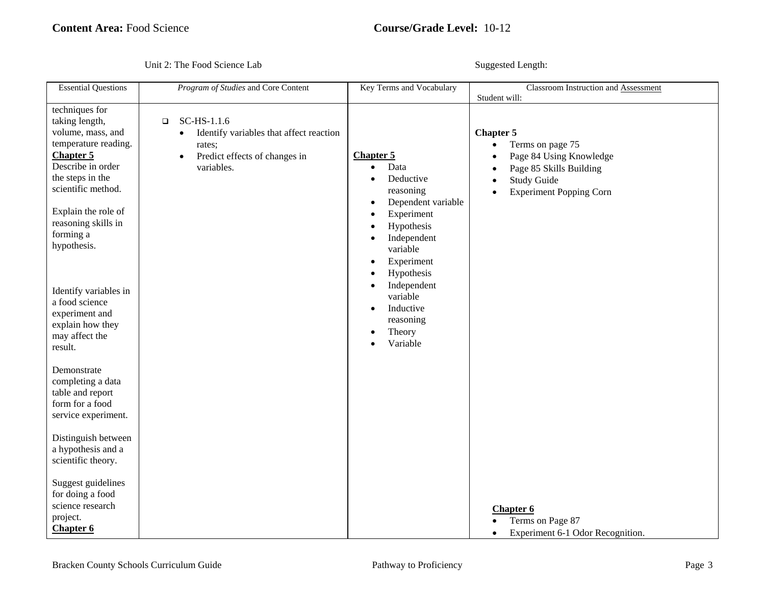Unit 2: The Food Science Lab Suggested Length:

| <b>Essential Questions</b>                                                                                                                                                                                                                                                                                                             | Program of Studies and Core Content                                                                                                                 | Key Terms and Vocabulary                                                                                                                                                                                                                                                                   | Classroom Instruction and Assessment<br>Student will:                                                                                              |
|----------------------------------------------------------------------------------------------------------------------------------------------------------------------------------------------------------------------------------------------------------------------------------------------------------------------------------------|-----------------------------------------------------------------------------------------------------------------------------------------------------|--------------------------------------------------------------------------------------------------------------------------------------------------------------------------------------------------------------------------------------------------------------------------------------------|----------------------------------------------------------------------------------------------------------------------------------------------------|
| techniques for<br>taking length,<br>volume, mass, and<br>temperature reading.<br>Chapter 5<br>Describe in order<br>the steps in the<br>scientific method.<br>Explain the role of<br>reasoning skills in<br>forming a<br>hypothesis.<br>Identify variables in<br>a food science<br>experiment and<br>explain how they<br>may affect the | SC-HS-1.1.6<br>$\Box$<br>Identify variables that affect reaction<br>$\bullet$<br>rates;<br>Predict effects of changes in<br>$\bullet$<br>variables. | <b>Chapter 5</b><br>Data<br>$\bullet$<br>Deductive<br>$\bullet$<br>reasoning<br>Dependent variable<br>Experiment<br>Hypothesis<br>Independent<br>variable<br>Experiment<br>Hypothesis<br>Independent<br>$\bullet$<br>variable<br>Inductive<br>$\bullet$<br>reasoning<br>Theory<br>Variable | <b>Chapter 5</b><br>Terms on page 75<br>Page 84 Using Knowledge<br>Page 85 Skills Building<br><b>Study Guide</b><br><b>Experiment Popping Corn</b> |
| result.<br>Demonstrate<br>completing a data<br>table and report<br>form for a food<br>service experiment.<br>Distinguish between<br>a hypothesis and a<br>scientific theory.                                                                                                                                                           |                                                                                                                                                     |                                                                                                                                                                                                                                                                                            |                                                                                                                                                    |
| Suggest guidelines<br>for doing a food<br>science research<br>project.<br>Chapter 6                                                                                                                                                                                                                                                    |                                                                                                                                                     |                                                                                                                                                                                                                                                                                            | Chapter <sub>6</sub><br>Terms on Page 87<br>Experiment 6-1 Odor Recognition.                                                                       |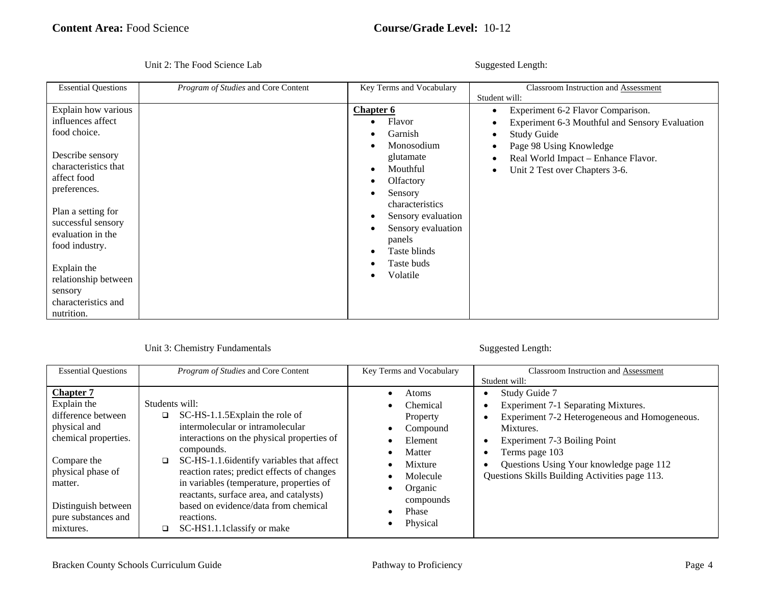|  |  | Unit 2: The Food Science Lab |
|--|--|------------------------------|
|--|--|------------------------------|

Suggested Length:

| <b>Essential Questions</b>                                                                                                                                                                                                                                                                                    | Program of Studies and Core Content | Key Terms and Vocabulary                                                                                                                                                                                                | <b>Classroom Instruction and Assessment</b>                                                                                                                                                                                    |
|---------------------------------------------------------------------------------------------------------------------------------------------------------------------------------------------------------------------------------------------------------------------------------------------------------------|-------------------------------------|-------------------------------------------------------------------------------------------------------------------------------------------------------------------------------------------------------------------------|--------------------------------------------------------------------------------------------------------------------------------------------------------------------------------------------------------------------------------|
| Explain how various<br>influences affect<br>food choice.<br>Describe sensory<br>characteristics that<br>affect food<br>preferences.<br>Plan a setting for<br>successful sensory<br>evaluation in the<br>food industry.<br>Explain the<br>relationship between<br>sensory<br>characteristics and<br>nutrition. |                                     | <b>Chapter 6</b><br>Flavor<br>Garnish<br>Monosodium<br>glutamate<br>Mouthful<br>Olfactory<br>Sensory<br>characteristics<br>Sensory evaluation<br>Sensory evaluation<br>panels<br>Taste blinds<br>Taste buds<br>Volatile | Student will:<br>Experiment 6-2 Flavor Comparison.<br>Experiment 6-3 Mouthful and Sensory Evaluation<br><b>Study Guide</b><br>Page 98 Using Knowledge<br>Real World Impact - Enhance Flavor.<br>Unit 2 Test over Chapters 3-6. |

| <b>Essential Questions</b>                                                                             | Program of Studies and Core Content                                                                                                                                                                                                                                                         | Key Terms and Vocabulary                                                   | <b>Classroom Instruction and Assessment</b>                                                                                                        |
|--------------------------------------------------------------------------------------------------------|---------------------------------------------------------------------------------------------------------------------------------------------------------------------------------------------------------------------------------------------------------------------------------------------|----------------------------------------------------------------------------|----------------------------------------------------------------------------------------------------------------------------------------------------|
|                                                                                                        |                                                                                                                                                                                                                                                                                             |                                                                            | Student will:                                                                                                                                      |
| <b>Chapter 7</b><br>Explain the<br>difference between<br>physical and<br>chemical properties.          | Students will:<br>SC-HS-1.1.5Explain the role of<br>o.<br>intermolecular or intramolecular<br>interactions on the physical properties of                                                                                                                                                    | Atoms<br>Chemical<br>Property<br>Compound<br>Element                       | Study Guide 7<br>Experiment 7-1 Separating Mixtures.<br>Experiment 7-2 Heterogeneous and Homogeneous.<br>Mixtures.<br>Experiment 7-3 Boiling Point |
| Compare the<br>physical phase of<br>matter.<br>Distinguish between<br>pure substances and<br>mixtures. | compounds.<br>SC-HS-1.1.6identify variables that affect<br>□<br>reaction rates; predict effects of changes<br>in variables (temperature, properties of<br>reactants, surface area, and catalysts)<br>based on evidence/data from chemical<br>reactions.<br>SC-HS1.1.1 classify or make<br>□ | Matter<br>Mixture<br>Molecule<br>Organic<br>compounds<br>Phase<br>Physical | Terms page 103<br>Questions Using Your knowledge page 112<br>Questions Skills Building Activities page 113.                                        |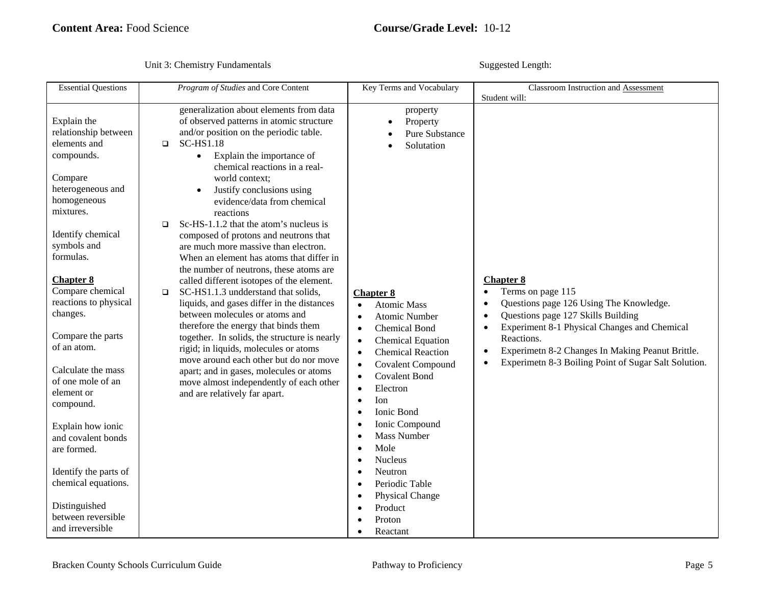| <b>Essential Questions</b>                                                                                                                                                                                                                                                                                                                                                                                                                                                      | Program of Studies and Core Content                                                                                                                                                                                                                                                                                                                                                                                                                                                                                                                                                                                                                                                                                                                                                                                                                                                                                                                                                                                                           | Key Terms and Vocabulary                                                                                                                                                                                                                                                                                                                                                                                                    | Classroom Instruction and Assessment                                                                                                                                                                                                                                                                                                                                                            |
|---------------------------------------------------------------------------------------------------------------------------------------------------------------------------------------------------------------------------------------------------------------------------------------------------------------------------------------------------------------------------------------------------------------------------------------------------------------------------------|-----------------------------------------------------------------------------------------------------------------------------------------------------------------------------------------------------------------------------------------------------------------------------------------------------------------------------------------------------------------------------------------------------------------------------------------------------------------------------------------------------------------------------------------------------------------------------------------------------------------------------------------------------------------------------------------------------------------------------------------------------------------------------------------------------------------------------------------------------------------------------------------------------------------------------------------------------------------------------------------------------------------------------------------------|-----------------------------------------------------------------------------------------------------------------------------------------------------------------------------------------------------------------------------------------------------------------------------------------------------------------------------------------------------------------------------------------------------------------------------|-------------------------------------------------------------------------------------------------------------------------------------------------------------------------------------------------------------------------------------------------------------------------------------------------------------------------------------------------------------------------------------------------|
| Explain the<br>relationship between<br>elements and<br>compounds.<br>Compare<br>heterogeneous and<br>homogeneous<br>mixtures.<br>Identify chemical<br>symbols and<br>formulas.<br><b>Chapter 8</b><br>Compare chemical<br>reactions to physical<br>changes.<br>Compare the parts<br>of an atom.<br>Calculate the mass<br>of one mole of an<br>element or<br>compound.<br>Explain how ionic<br>and covalent bonds<br>are formed.<br>Identify the parts of<br>chemical equations. | generalization about elements from data<br>of observed patterns in atomic structure<br>and/or position on the periodic table.<br><b>SC-HS1.18</b><br>$\Box$<br>Explain the importance of<br>$\bullet$<br>chemical reactions in a real-<br>world context;<br>Justify conclusions using<br>evidence/data from chemical<br>reactions<br>Sc-HS-1.1.2 that the atom's nucleus is<br>$\Box$<br>composed of protons and neutrons that<br>are much more massive than electron.<br>When an element has atoms that differ in<br>the number of neutrons, these atoms are<br>called different isotopes of the element.<br>SC-HS1.1.3 undderstand that solids,<br>$\Box$<br>liquids, and gases differ in the distances<br>between molecules or atoms and<br>therefore the energy that binds them<br>together. In solids, the structure is nearly<br>rigid; in liquids, molecules or atoms<br>move around each other but do nor move<br>apart; and in gases, molecules or atoms<br>move almost independently of each other<br>and are relatively far apart. | property<br>Property<br><b>Pure Substance</b><br>Solutation<br><b>Chapter 8</b><br><b>Atomic Mass</b><br>$\bullet$<br><b>Atomic Number</b><br><b>Chemical Bond</b><br><b>Chemical Equation</b><br><b>Chemical Reaction</b><br>$\bullet$<br><b>Covalent Compound</b><br><b>Covalent Bond</b><br>Electron<br>Ion<br>Ionic Bond<br>Ionic Compound<br><b>Mass Number</b><br>Mole<br><b>Nucleus</b><br>Neutron<br>Periodic Table | Student will:<br><b>Chapter 8</b><br>Terms on page 115<br>$\bullet$<br>Questions page 126 Using The Knowledge.<br>$\bullet$<br>Questions page 127 Skills Building<br>$\bullet$<br>Experiment 8-1 Physical Changes and Chemical<br>$\bullet$<br>Reactions.<br>Experimetn 8-2 Changes In Making Peanut Brittle.<br>$\bullet$<br>Experimetn 8-3 Boiling Point of Sugar Salt Solution.<br>$\bullet$ |
| Distinguished<br>between reversible<br>and irreversible                                                                                                                                                                                                                                                                                                                                                                                                                         |                                                                                                                                                                                                                                                                                                                                                                                                                                                                                                                                                                                                                                                                                                                                                                                                                                                                                                                                                                                                                                               | Physical Change<br>Product<br>Proton<br>Reactant                                                                                                                                                                                                                                                                                                                                                                            |                                                                                                                                                                                                                                                                                                                                                                                                 |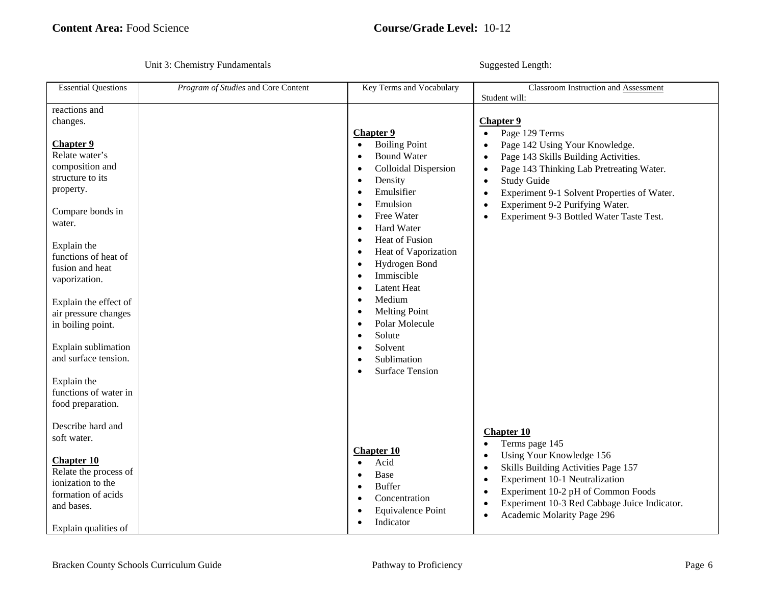| <b>Essential Questions</b>                                                                                                                                                                                                                                                                                                                        | Program of Studies and Core Content | Key Terms and Vocabulary                                                                                                                                                                                                                                                                                                                                                                                                                                                                            | Classroom Instruction and Assessment                                                                                                                                                                                                                                                                                                                                                                    |
|---------------------------------------------------------------------------------------------------------------------------------------------------------------------------------------------------------------------------------------------------------------------------------------------------------------------------------------------------|-------------------------------------|-----------------------------------------------------------------------------------------------------------------------------------------------------------------------------------------------------------------------------------------------------------------------------------------------------------------------------------------------------------------------------------------------------------------------------------------------------------------------------------------------------|---------------------------------------------------------------------------------------------------------------------------------------------------------------------------------------------------------------------------------------------------------------------------------------------------------------------------------------------------------------------------------------------------------|
|                                                                                                                                                                                                                                                                                                                                                   |                                     |                                                                                                                                                                                                                                                                                                                                                                                                                                                                                                     | Student will:                                                                                                                                                                                                                                                                                                                                                                                           |
| reactions and<br>changes.<br><b>Chapter 9</b><br>Relate water's<br>composition and<br>structure to its<br>property.<br>Compare bonds in<br>water.<br>Explain the<br>functions of heat of<br>fusion and heat<br>vaporization.<br>Explain the effect of<br>air pressure changes<br>in boiling point.<br>Explain sublimation<br>and surface tension. |                                     | <b>Chapter 9</b><br><b>Boiling Point</b><br>$\bullet$<br><b>Bound Water</b><br>Colloidal Dispersion<br>$\bullet$<br>Density<br>$\bullet$<br>Emulsifier<br>$\bullet$<br>Emulsion<br>$\bullet$<br>Free Water<br>$\bullet$<br>Hard Water<br>$\bullet$<br>Heat of Fusion<br>$\epsilon$<br>Heat of Vaporization<br>$\bullet$<br>Hydrogen Bond<br>$\bullet$<br>Immiscible<br><b>Latent Heat</b><br>Medium<br>$\bullet$<br><b>Melting Point</b><br>Polar Molecule<br>Solute<br>٠<br>Solvent<br>Sublimation | <b>Chapter 9</b><br>Page 129 Terms<br>$\bullet$<br>Page 142 Using Your Knowledge.<br>$\bullet$<br>Page 143 Skills Building Activities.<br>$\bullet$<br>Page 143 Thinking Lab Pretreating Water.<br>$\bullet$<br><b>Study Guide</b><br>$\bullet$<br>Experiment 9-1 Solvent Properties of Water.<br>$\bullet$<br>Experiment 9-2 Purifying Water.<br>$\bullet$<br>Experiment 9-3 Bottled Water Taste Test. |
| Explain the<br>functions of water in<br>food preparation.<br>Describe hard and<br>soft water.<br><b>Chapter 10</b><br>Relate the process of<br>ionization to the<br>formation of acids<br>and bases.<br>Explain qualities of                                                                                                                      |                                     | <b>Surface Tension</b><br><b>Chapter 10</b><br>Acid<br>$\bullet$<br>Base<br>$\bullet$<br><b>Buffer</b><br>Concentration<br><b>Equivalence Point</b><br>Indicator                                                                                                                                                                                                                                                                                                                                    | <b>Chapter 10</b><br>Terms page 145<br>Using Your Knowledge 156<br>Skills Building Activities Page 157<br>٠<br>Experiment 10-1 Neutralization<br>$\bullet$<br>Experiment 10-2 pH of Common Foods<br>Experiment 10-3 Red Cabbage Juice Indicator.<br>Academic Molarity Page 296                                                                                                                          |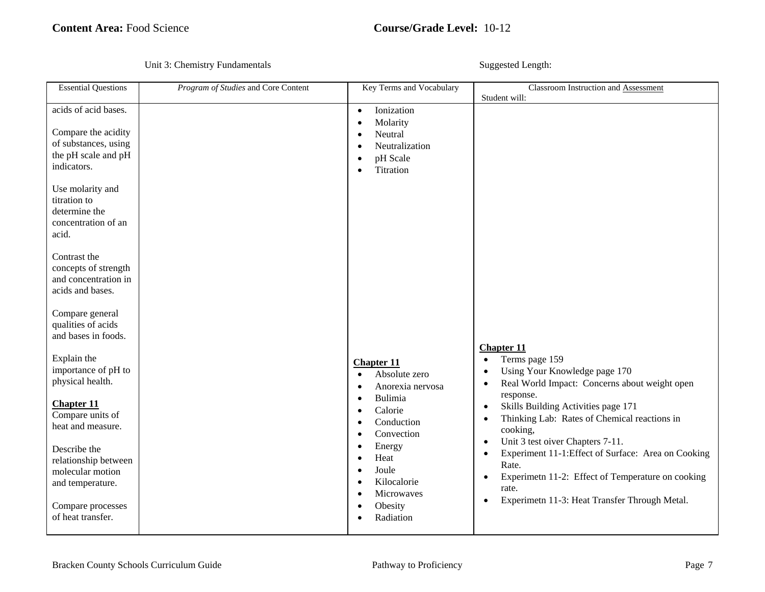| <b>Essential Questions</b>                                                                                | Program of Studies and Core Content | Key Terms and Vocabulary                                                                                            | Classroom Instruction and Assessment                                                                                                                                                                                                                  |
|-----------------------------------------------------------------------------------------------------------|-------------------------------------|---------------------------------------------------------------------------------------------------------------------|-------------------------------------------------------------------------------------------------------------------------------------------------------------------------------------------------------------------------------------------------------|
| acids of acid bases.<br>Compare the acidity<br>of substances, using<br>the pH scale and pH<br>indicators. |                                     | Ionization<br>$\bullet$<br>Molarity<br>$\bullet$<br>Neutral<br>Neutralization<br>pH Scale<br>Titration<br>$\bullet$ | Student will:                                                                                                                                                                                                                                         |
| Use molarity and<br>titration to<br>determine the<br>concentration of an<br>acid.                         |                                     |                                                                                                                     |                                                                                                                                                                                                                                                       |
| Contrast the<br>concepts of strength<br>and concentration in<br>acids and bases.                          |                                     |                                                                                                                     |                                                                                                                                                                                                                                                       |
| Compare general<br>qualities of acids<br>and bases in foods.                                              |                                     |                                                                                                                     | <b>Chapter 11</b>                                                                                                                                                                                                                                     |
| Explain the<br>importance of pH to<br>physical health.                                                    |                                     | <b>Chapter 11</b><br>Absolute zero<br>$\bullet$<br>Anorexia nervosa<br>٠                                            | Terms page 159<br>$\bullet$<br>Using Your Knowledge page 170<br>$\bullet$<br>Real World Impact: Concerns about weight open<br>response.                                                                                                               |
| <b>Chapter 11</b><br>Compare units of<br>heat and measure.                                                |                                     | <b>Bulimia</b><br>$\bullet$<br>Calorie<br>$\bullet$<br>Conduction<br>$\bullet$<br>Convection<br>$\bullet$           | Skills Building Activities page 171<br>$\bullet$<br>Thinking Lab: Rates of Chemical reactions in<br>$\bullet$<br>cooking,                                                                                                                             |
| Describe the<br>relationship between<br>molecular motion<br>and temperature.                              |                                     | Energy<br>$\bullet$<br>Heat<br>$\bullet$<br>Joule<br>×<br>Kilocalorie<br>Microwaves                                 | Unit 3 test oiver Chapters 7-11.<br>$\bullet$<br>Experiment 11-1:Effect of Surface: Area on Cooking<br>$\bullet$<br>Rate.<br>Experimetn 11-2: Effect of Temperature on cooking<br>$\bullet$<br>rate.<br>Experimetn 11-3: Heat Transfer Through Metal. |
| Compare processes<br>of heat transfer.                                                                    |                                     | Obesity<br>Radiation                                                                                                | $\bullet$                                                                                                                                                                                                                                             |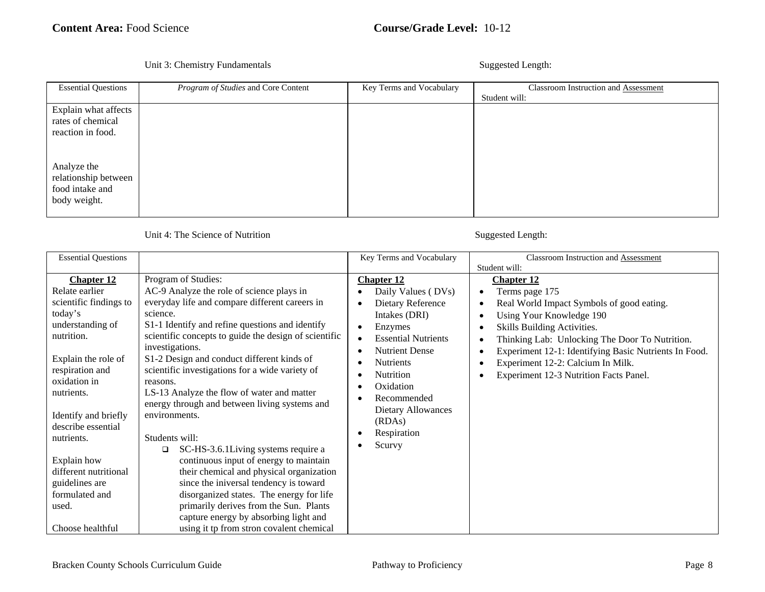### Unit 3: Chemistry Fundamentals Suggested Length:

| <b>Essential Questions</b>                                             | Program of Studies and Core Content | Key Terms and Vocabulary | Classroom Instruction and Assessment<br>Student will: |
|------------------------------------------------------------------------|-------------------------------------|--------------------------|-------------------------------------------------------|
| Explain what affects<br>rates of chemical<br>reaction in food.         |                                     |                          |                                                       |
| Analyze the<br>relationship between<br>food intake and<br>body weight. |                                     |                          |                                                       |

| <b>Essential Questions</b> |                                                       | Key Terms and Vocabulary   | Classroom Instruction and Assessment                       |
|----------------------------|-------------------------------------------------------|----------------------------|------------------------------------------------------------|
|                            |                                                       |                            | Student will:                                              |
| <b>Chapter 12</b>          | Program of Studies:                                   | <b>Chapter 12</b>          | <b>Chapter 12</b>                                          |
| Relate earlier             | AC-9 Analyze the role of science plays in             | Daily Values (DVs)         | Terms page 175<br>$\bullet$                                |
| scientific findings to     | everyday life and compare different careers in        | Dietary Reference          | Real World Impact Symbols of good eating.<br>٠             |
| today's                    | science.                                              | Intakes (DRI)              | Using Your Knowledge 190<br>٠                              |
| understanding of           | S1-1 Identify and refine questions and identify       | Enzymes<br>$\bullet$       | Skills Building Activities.<br>٠                           |
| nutrition.                 | scientific concepts to guide the design of scientific | <b>Essential Nutrients</b> | Thinking Lab: Unlocking The Door To Nutrition.<br>٠        |
|                            | investigations.                                       | <b>Nutrient Dense</b>      | Experiment 12-1: Identifying Basic Nutrients In Food.<br>٠ |
| Explain the role of        | S1-2 Design and conduct different kinds of            | <b>Nutrients</b>           | Experiment 12-2: Calcium In Milk.<br>٠                     |
| respiration and            | scientific investigations for a wide variety of       | <b>Nutrition</b>           | Experiment 12-3 Nutrition Facts Panel.<br>٠                |
| oxidation in               | reasons.                                              | Oxidation                  |                                                            |
| nutrients.                 | LS-13 Analyze the flow of water and matter            | Recommended                |                                                            |
|                            | energy through and between living systems and         | <b>Dietary Allowances</b>  |                                                            |
| Identify and briefly       | environments.                                         | (RDAs)                     |                                                            |
| describe essential         |                                                       | Respiration                |                                                            |
| nutrients.                 | Students will:                                        | Scurvy                     |                                                            |
|                            | SC-HS-3.6.1 Living systems require a<br>$\Box$        |                            |                                                            |
| Explain how                | continuous input of energy to maintain                |                            |                                                            |
| different nutritional      | their chemical and physical organization              |                            |                                                            |
| guidelines are             | since the iniversal tendency is toward                |                            |                                                            |
| formulated and             | disorganized states. The energy for life              |                            |                                                            |
| used.                      | primarily derives from the Sun. Plants                |                            |                                                            |
|                            | capture energy by absorbing light and                 |                            |                                                            |
| Choose healthful           | using it tp from stron covalent chemical              |                            |                                                            |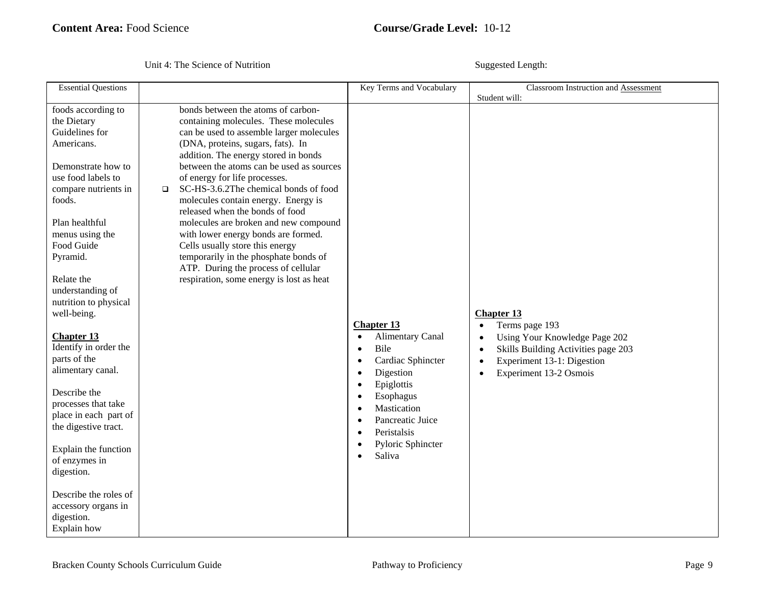| <b>Essential Questions</b>                                                                                                                                                                                                                                                                                                                                                                                                                                                                                                                                                                              |                                                                                                                                                                                                                                                                                                                                                                                                                                                                                                                                                                                                                                                               | Key Terms and Vocabulary                                                                                                                                                                                                                                                                                                                  | Classroom Instruction and Assessment<br>Student will:                                                                                                                                                                                |
|---------------------------------------------------------------------------------------------------------------------------------------------------------------------------------------------------------------------------------------------------------------------------------------------------------------------------------------------------------------------------------------------------------------------------------------------------------------------------------------------------------------------------------------------------------------------------------------------------------|---------------------------------------------------------------------------------------------------------------------------------------------------------------------------------------------------------------------------------------------------------------------------------------------------------------------------------------------------------------------------------------------------------------------------------------------------------------------------------------------------------------------------------------------------------------------------------------------------------------------------------------------------------------|-------------------------------------------------------------------------------------------------------------------------------------------------------------------------------------------------------------------------------------------------------------------------------------------------------------------------------------------|--------------------------------------------------------------------------------------------------------------------------------------------------------------------------------------------------------------------------------------|
| foods according to<br>the Dietary<br>Guidelines for<br>Americans.<br>Demonstrate how to<br>use food labels to<br>compare nutrients in<br>foods.<br>Plan healthful<br>menus using the<br>Food Guide<br>Pyramid.<br>Relate the<br>understanding of<br>nutrition to physical<br>well-being.<br><b>Chapter 13</b><br>Identify in order the<br>parts of the<br>alimentary canal.<br>Describe the<br>processes that take<br>place in each part of<br>the digestive tract.<br>Explain the function<br>of enzymes in<br>digestion.<br>Describe the roles of<br>accessory organs in<br>digestion.<br>Explain how | bonds between the atoms of carbon-<br>containing molecules. These molecules<br>can be used to assemble larger molecules<br>(DNA, proteins, sugars, fats). In<br>addition. The energy stored in bonds<br>between the atoms can be used as sources<br>of energy for life processes.<br>SC-HS-3.6.2The chemical bonds of food<br>$\Box$<br>molecules contain energy. Energy is<br>released when the bonds of food<br>molecules are broken and new compound<br>with lower energy bonds are formed.<br>Cells usually store this energy<br>temporarily in the phosphate bonds of<br>ATP. During the process of cellular<br>respiration, some energy is lost as heat | <b>Chapter 13</b><br><b>Alimentary Canal</b><br>$\bullet$<br>Bile<br>$\bullet$<br>Cardiac Sphincter<br>٠<br>Digestion<br>$\bullet$<br>Epiglottis<br>$\bullet$<br>Esophagus<br>$\bullet$<br>Mastication<br>$\bullet$<br>Pancreatic Juice<br>$\bullet$<br>Peristalsis<br>$\bullet$<br>Pyloric Sphincter<br>$\bullet$<br>Saliva<br>$\bullet$ | <b>Chapter 13</b><br>Terms page 193<br>$\bullet$<br>Using Your Knowledge Page 202<br>$\bullet$<br>Skills Building Activities page 203<br>$\bullet$<br>Experiment 13-1: Digestion<br>$\bullet$<br>Experiment 13-2 Osmois<br>$\bullet$ |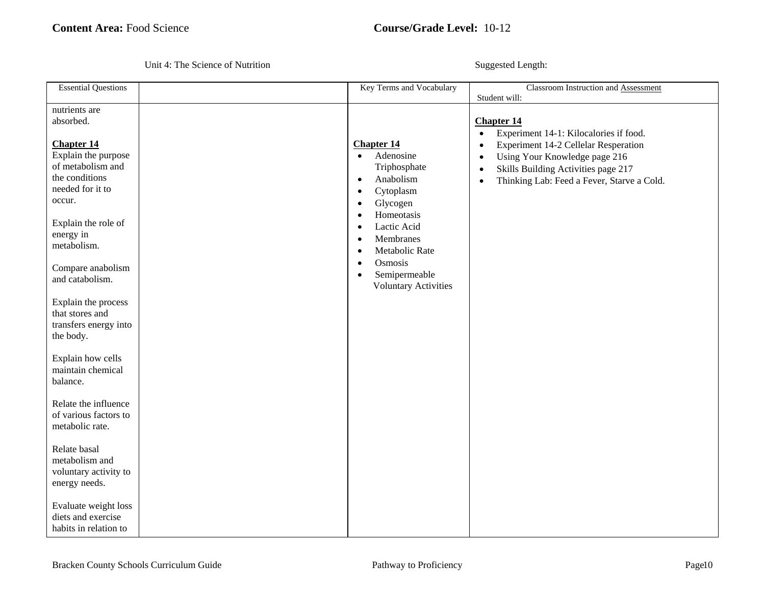| <b>Essential Questions</b>                                                                                                                                                                                                                                                                                                                                       | Key Terms and Vocabulary                                                                                                                                                                                                                                                                                                                      | Classroom Instruction and Assessment                                                                                                                                                                                                                                                                        |
|------------------------------------------------------------------------------------------------------------------------------------------------------------------------------------------------------------------------------------------------------------------------------------------------------------------------------------------------------------------|-----------------------------------------------------------------------------------------------------------------------------------------------------------------------------------------------------------------------------------------------------------------------------------------------------------------------------------------------|-------------------------------------------------------------------------------------------------------------------------------------------------------------------------------------------------------------------------------------------------------------------------------------------------------------|
| nutrients are<br>absorbed.<br><b>Chapter 14</b><br>Explain the purpose<br>of metabolism and<br>the conditions<br>needed for it to<br>occur.<br>Explain the role of<br>energy in<br>metabolism.<br>Compare anabolism<br>and catabolism.<br>Explain the process<br>that stores and<br>transfers energy into<br>the body.<br>Explain how cells<br>maintain chemical | <b>Chapter 14</b><br>Adenosine<br>$\bullet$<br>Triphosphate<br>Anabolism<br>$\bullet$<br>Cytoplasm<br>$\bullet$<br>Glycogen<br>$\bullet$<br>Homeotasis<br>$\bullet$<br>Lactic Acid<br>$\bullet$<br>Membranes<br>$\bullet$<br>Metabolic Rate<br>$\bullet$<br>Osmosis<br>$\bullet$<br>Semipermeable<br>$\bullet$<br><b>Voluntary Activities</b> | Student will:<br><b>Chapter 14</b><br>Experiment 14-1: Kilocalories if food.<br>$\bullet$<br>Experiment 14-2 Cellelar Resperation<br>$\bullet$<br>Using Your Knowledge page 216<br>$\bullet$<br>Skills Building Activities page 217<br>$\bullet$<br>Thinking Lab: Feed a Fever, Starve a Cold.<br>$\bullet$ |
| balance.<br>Relate the influence                                                                                                                                                                                                                                                                                                                                 |                                                                                                                                                                                                                                                                                                                                               |                                                                                                                                                                                                                                                                                                             |
| of various factors to<br>metabolic rate.                                                                                                                                                                                                                                                                                                                         |                                                                                                                                                                                                                                                                                                                                               |                                                                                                                                                                                                                                                                                                             |
| Relate basal<br>metabolism and<br>voluntary activity to<br>energy needs.                                                                                                                                                                                                                                                                                         |                                                                                                                                                                                                                                                                                                                                               |                                                                                                                                                                                                                                                                                                             |
| Evaluate weight loss<br>diets and exercise<br>habits in relation to                                                                                                                                                                                                                                                                                              |                                                                                                                                                                                                                                                                                                                                               |                                                                                                                                                                                                                                                                                                             |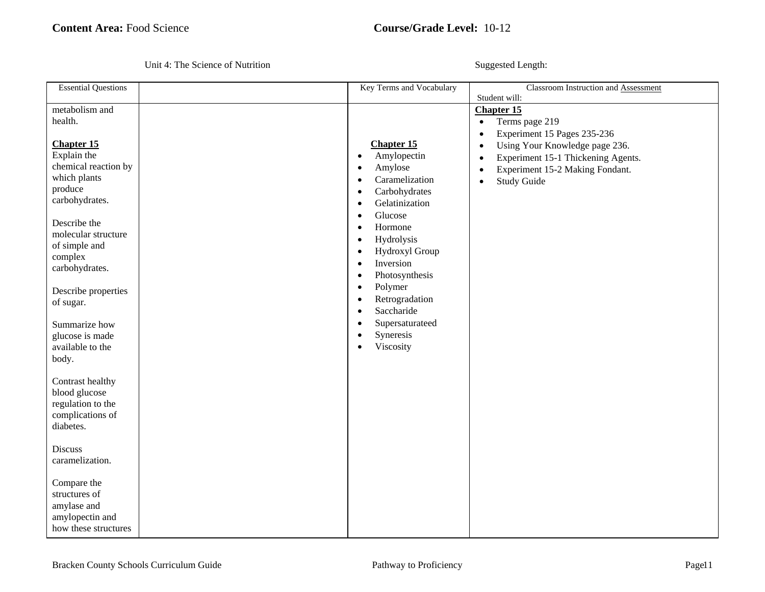| <b>Essential Questions</b>                                                                                                                                                                                                                                                                                                                                                             | Key Terms and Vocabulary                                                                                                                                                                                                                                                                                                                                                                                                                                                                           | Classroom Instruction and Assessment<br>Student will:                                                                                                                                                                                                                             |
|----------------------------------------------------------------------------------------------------------------------------------------------------------------------------------------------------------------------------------------------------------------------------------------------------------------------------------------------------------------------------------------|----------------------------------------------------------------------------------------------------------------------------------------------------------------------------------------------------------------------------------------------------------------------------------------------------------------------------------------------------------------------------------------------------------------------------------------------------------------------------------------------------|-----------------------------------------------------------------------------------------------------------------------------------------------------------------------------------------------------------------------------------------------------------------------------------|
| metabolism and<br>health.<br><b>Chapter 15</b><br>Explain the<br>chemical reaction by<br>which plants<br>produce<br>carbohydrates.<br>Describe the<br>molecular structure<br>of simple and<br>complex<br>carbohydrates.<br>Describe properties<br>of sugar.<br>Summarize how<br>glucose is made<br>available to the<br>body.<br>Contrast healthy<br>blood glucose<br>regulation to the | <b>Chapter 15</b><br>Amylopectin<br>$\bullet$<br>Amylose<br>$\bullet$<br>Caramelization<br>$\bullet$<br>Carbohydrates<br>$\bullet$<br>Gelatinization<br>$\bullet$<br>Glucose<br>$\bullet$<br>Hormone<br>$\bullet$<br>Hydrolysis<br>$\bullet$<br>Hydroxyl Group<br>$\bullet$<br>Inversion<br>$\bullet$<br>Photosynthesis<br>$\bullet$<br>Polymer<br>$\bullet$<br>Retrogradation<br>$\bullet$<br>Saccharide<br>$\bullet$<br>Supersaturateed<br>٠<br>Syneresis<br>$\bullet$<br>Viscosity<br>$\bullet$ | <b>Chapter 15</b><br>Terms page 219<br>$\bullet$<br>Experiment 15 Pages 235-236<br>$\bullet$<br>Using Your Knowledge page 236.<br>$\bullet$<br>Experiment 15-1 Thickening Agents.<br>$\bullet$<br>Experiment 15-2 Making Fondant.<br>$\bullet$<br><b>Study Guide</b><br>$\bullet$ |
| complications of<br>diabetes.                                                                                                                                                                                                                                                                                                                                                          |                                                                                                                                                                                                                                                                                                                                                                                                                                                                                                    |                                                                                                                                                                                                                                                                                   |
| <b>Discuss</b><br>caramelization.                                                                                                                                                                                                                                                                                                                                                      |                                                                                                                                                                                                                                                                                                                                                                                                                                                                                                    |                                                                                                                                                                                                                                                                                   |
| Compare the<br>structures of<br>amylase and<br>amylopectin and<br>how these structures                                                                                                                                                                                                                                                                                                 |                                                                                                                                                                                                                                                                                                                                                                                                                                                                                                    |                                                                                                                                                                                                                                                                                   |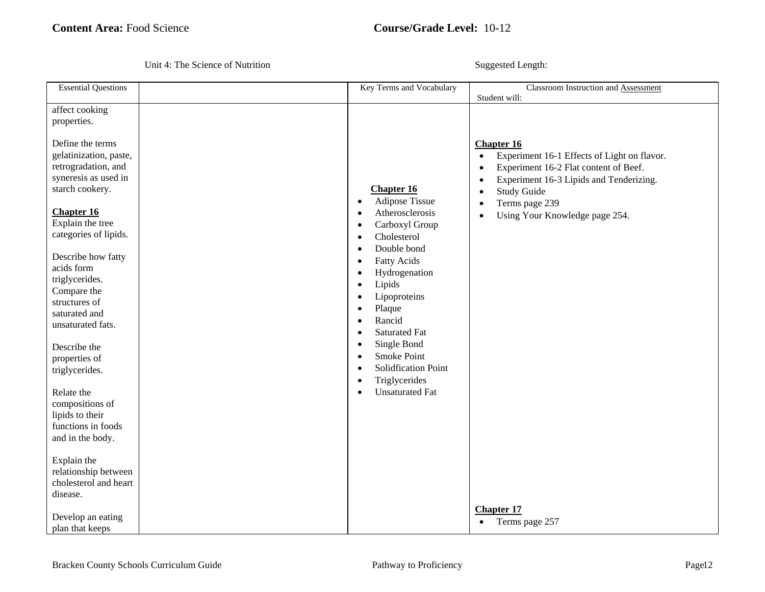| <b>Essential Questions</b>                                                                                                                                                                                                                                                                                                                                                                                                                                                                                                                                                                    | Key Terms and Vocabulary                                                                                                                                                                                                                                                                                                                                                                                                                                                                                                     | Classroom Instruction and Assessment                                                                                                                                                                                                                                                                                                                                   |
|-----------------------------------------------------------------------------------------------------------------------------------------------------------------------------------------------------------------------------------------------------------------------------------------------------------------------------------------------------------------------------------------------------------------------------------------------------------------------------------------------------------------------------------------------------------------------------------------------|------------------------------------------------------------------------------------------------------------------------------------------------------------------------------------------------------------------------------------------------------------------------------------------------------------------------------------------------------------------------------------------------------------------------------------------------------------------------------------------------------------------------------|------------------------------------------------------------------------------------------------------------------------------------------------------------------------------------------------------------------------------------------------------------------------------------------------------------------------------------------------------------------------|
| affect cooking<br>properties.<br>Define the terms<br>gelatinization, paste,<br>retrogradation, and<br>syneresis as used in<br>starch cookery.<br><b>Chapter 16</b><br>Explain the tree<br>categories of lipids.<br>Describe how fatty<br>acids form<br>triglycerides.<br>Compare the<br>structures of<br>saturated and<br>unsaturated fats.<br>Describe the<br>properties of<br>triglycerides.<br>Relate the<br>compositions of<br>lipids to their<br>functions in foods<br>and in the body.<br>Explain the<br>relationship between<br>cholesterol and heart<br>disease.<br>Develop an eating | <b>Chapter 16</b><br><b>Adipose Tissue</b><br>$\bullet$<br>Atherosclerosis<br>Carboxyl Group<br>Cholesterol<br>٠<br>Double bond<br>$\bullet$<br><b>Fatty Acids</b><br>$\bullet$<br>Hydrogenation<br>$\bullet$<br>Lipids<br>$\bullet$<br>Lipoproteins<br>$\bullet$<br>Plaque<br>$\bullet$<br>Rancid<br>$\bullet$<br><b>Saturated Fat</b><br>$\bullet$<br>Single Bond<br>$\bullet$<br><b>Smoke Point</b><br>$\bullet$<br>Solidfication Point<br>$\bullet$<br>Triglycerides<br>$\bullet$<br><b>Unsaturated Fat</b><br>$\bullet$ | Student will:<br><b>Chapter 16</b><br>Experiment 16-1 Effects of Light on flavor.<br>$\bullet$<br>Experiment 16-2 Flat content of Beef.<br>$\bullet$<br>Experiment 16-3 Lipids and Tenderizing.<br>$\bullet$<br><b>Study Guide</b><br>$\bullet$<br>Terms page 239<br>$\bullet$<br>Using Your Knowledge page 254.<br>$\bullet$<br><b>Chapter 17</b><br>• Terms page 257 |
| plan that keeps                                                                                                                                                                                                                                                                                                                                                                                                                                                                                                                                                                               |                                                                                                                                                                                                                                                                                                                                                                                                                                                                                                                              |                                                                                                                                                                                                                                                                                                                                                                        |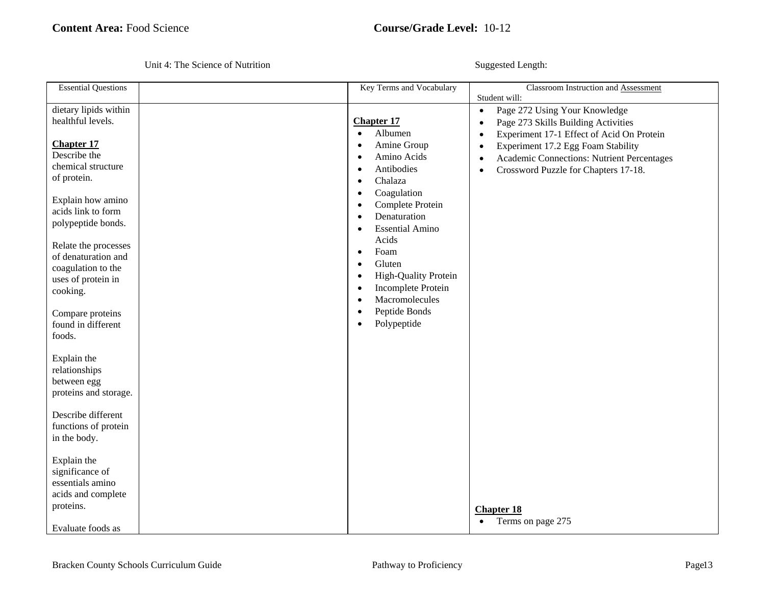| <b>Essential Questions</b>                                                                                 | Key Terms and Vocabulary                                                                                                                                 | Classroom Instruction and Assessment                                                                                                                                                                                         |
|------------------------------------------------------------------------------------------------------------|----------------------------------------------------------------------------------------------------------------------------------------------------------|------------------------------------------------------------------------------------------------------------------------------------------------------------------------------------------------------------------------------|
| dietary lipids within<br>healthful levels.<br><b>Chapter 17</b>                                            | <b>Chapter 17</b><br>Albumen<br>$\bullet$<br>Amine Group<br>$\bullet$                                                                                    | Student will:<br>Page 272 Using Your Knowledge<br>$\bullet$<br>Page 273 Skills Building Activities<br>$\bullet$<br>Experiment 17-1 Effect of Acid On Protein<br>$\bullet$<br>Experiment 17.2 Egg Foam Stability<br>$\bullet$ |
| Describe the<br>chemical structure<br>of protein.                                                          | Amino Acids<br>$\bullet$<br>Antibodies<br>$\bullet$<br>Chalaza<br>$\bullet$<br>Coagulation<br>$\bullet$                                                  | Academic Connections: Nutrient Percentages<br>$\bullet$<br>Crossword Puzzle for Chapters 17-18.<br>$\bullet$                                                                                                                 |
| Explain how amino<br>acids link to form<br>polypeptide bonds.                                              | Complete Protein<br>$\bullet$<br>Denaturation<br>$\bullet$<br><b>Essential Amino</b><br>$\bullet$                                                        |                                                                                                                                                                                                                              |
| Relate the processes<br>of denaturation and<br>coagulation to the<br>uses of protein in<br>cooking.        | Acids<br>Foam<br>$\bullet$<br>Gluten<br>$\bullet$<br>High-Quality Protein<br>$\bullet$<br>Incomplete Protein<br>$\bullet$<br>Macromolecules<br>$\bullet$ |                                                                                                                                                                                                                              |
| Compare proteins<br>found in different<br>foods.                                                           | Peptide Bonds<br>$\bullet$<br>Polypeptide<br>$\bullet$                                                                                                   |                                                                                                                                                                                                                              |
| Explain the<br>relationships<br>between egg<br>proteins and storage.                                       |                                                                                                                                                          |                                                                                                                                                                                                                              |
| Describe different<br>functions of protein<br>in the body.                                                 |                                                                                                                                                          |                                                                                                                                                                                                                              |
| Explain the<br>significance of<br>essentials amino<br>acids and complete<br>proteins.<br>Evaluate foods as |                                                                                                                                                          | <b>Chapter 18</b><br>Terms on page 275<br>$\bullet$                                                                                                                                                                          |